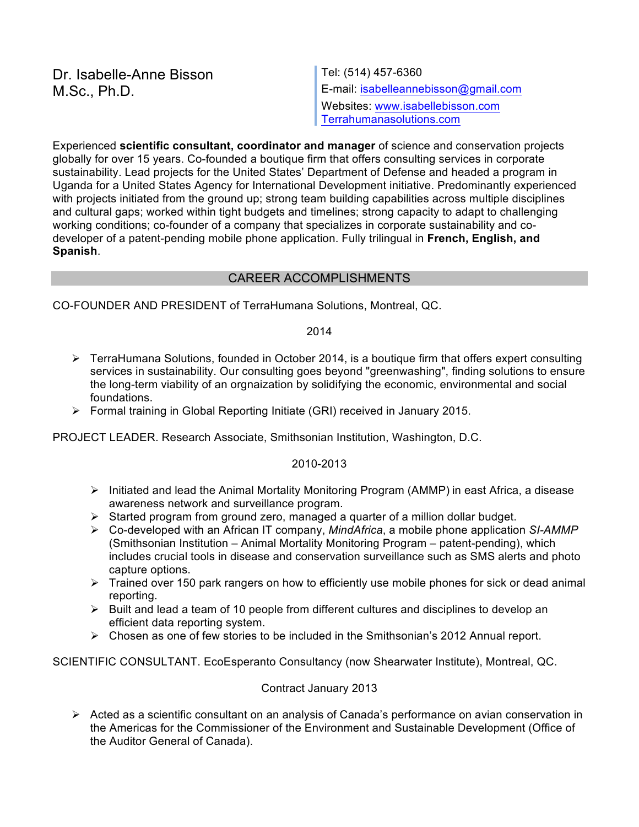Dr. Isabelle-Anne Bisson  $\vert$  Tel: (514) 457-6360

M.Sc., Ph.D. **E-mail:** isabelleannebisson@gmail.com Websites: www.isabellebisson.com Terrahumanasolutions.com

Experienced **scientific consultant, coordinator and manager** of science and conservation projects globally for over 15 years. Co-founded a boutique firm that offers consulting services in corporate sustainability. Lead projects for the United States' Department of Defense and headed a program in Uganda for a United States Agency for International Development initiative. Predominantly experienced with projects initiated from the ground up; strong team building capabilities across multiple disciplines and cultural gaps; worked within tight budgets and timelines; strong capacity to adapt to challenging working conditions; co-founder of a company that specializes in corporate sustainability and codeveloper of a patent-pending mobile phone application. Fully trilingual in **French, English, and Spanish**.

### CAREER ACCOMPLISHMENTS

CO-FOUNDER AND PRESIDENT of TerraHumana Solutions, Montreal, QC.

2014

- $\triangleright$  TerraHumana Solutions, founded in October 2014, is a boutique firm that offers expert consulting services in sustainability. Our consulting goes beyond "greenwashing", finding solutions to ensure the long-term viability of an orgnaization by solidifying the economic, environmental and social foundations.
- $\triangleright$  Formal training in Global Reporting Initiate (GRI) received in January 2015.

PROJECT LEADER. Research Associate, Smithsonian Institution, Washington, D.C.

### 2010-2013

- $\triangleright$  Initiated and lead the Animal Mortality Monitoring Program (AMMP) in east Africa, a disease awareness network and surveillance program.
- $\triangleright$  Started program from ground zero, managed a quarter of a million dollar budget.
- Ø Co-developed with an African IT company, *MindAfrica*, a mobile phone application *SI-AMMP* (Smithsonian Institution – Animal Mortality Monitoring Program – patent-pending), which includes crucial tools in disease and conservation surveillance such as SMS alerts and photo capture options.
- $\triangleright$  Trained over 150 park rangers on how to efficiently use mobile phones for sick or dead animal reporting.
- $\triangleright$  Built and lead a team of 10 people from different cultures and disciplines to develop an efficient data reporting system.
- $\triangleright$  Chosen as one of few stories to be included in the Smithsonian's 2012 Annual report.

SCIENTIFIC CONSULTANT. EcoEsperanto Consultancy (now Shearwater Institute), Montreal, QC.

### Contract January 2013

 $\triangleright$  Acted as a scientific consultant on an analysis of Canada's performance on avian conservation in the Americas for the Commissioner of the Environment and Sustainable Development (Office of the Auditor General of Canada).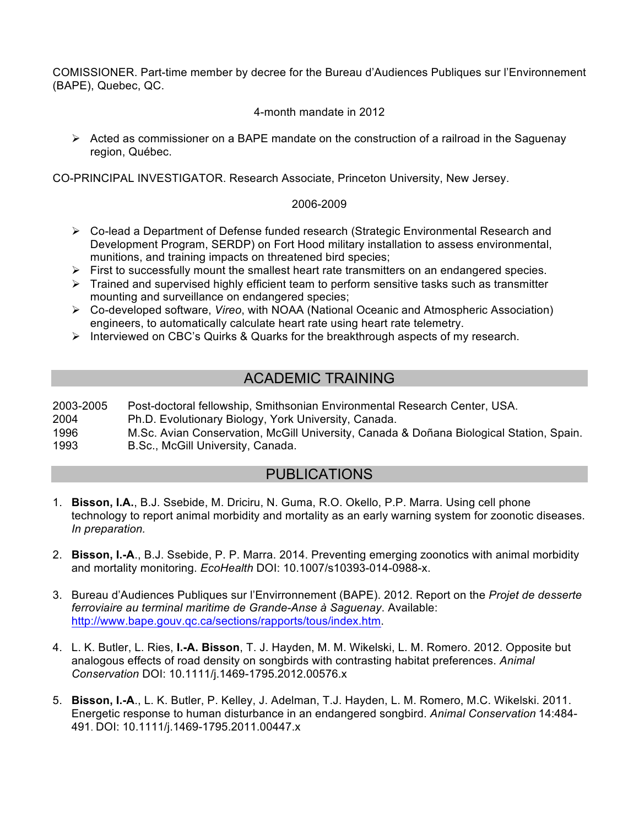COMISSIONER. Part-time member by decree for the Bureau d'Audiences Publiques sur l'Environnement (BAPE), Quebec, QC.

4-month mandate in 2012

 $\triangleright$  Acted as commissioner on a BAPE mandate on the construction of a railroad in the Saguenay region, Québec.

CO-PRINCIPAL INVESTIGATOR. Research Associate, Princeton University, New Jersey.

### 2006-2009

- $\triangleright$  Co-lead a Department of Defense funded research (Strategic Environmental Research and Development Program, SERDP) on Fort Hood military installation to assess environmental, munitions, and training impacts on threatened bird species;
- $\triangleright$  First to successfully mount the smallest heart rate transmitters on an endangered species.
- $\triangleright$  Trained and supervised highly efficient team to perform sensitive tasks such as transmitter mounting and surveillance on endangered species;
- Ø Co-developed software, *Vireo*, with NOAA (National Oceanic and Atmospheric Association) engineers, to automatically calculate heart rate using heart rate telemetry.
- $\triangleright$  Interviewed on CBC's Quirks & Quarks for the breakthrough aspects of my research.

# ACADEMIC TRAINING

2003-2005 Post-doctoral fellowship, Smithsonian Environmental Research Center, USA. 2004 Ph.D. Evolutionary Biology, York University, Canada. 1996 M.Sc. Avian Conservation, McGill University, Canada & Doñana Biological Station, Spain. 1993 B.Sc., McGill University, Canada.

## PUBLICATIONS

- 1. **Bisson, I.A.**, B.J. Ssebide, M. Driciru, N. Guma, R.O. Okello, P.P. Marra. Using cell phone technology to report animal morbidity and mortality as an early warning system for zoonotic diseases. *In preparation.*
- 2. **Bisson, I.-A**., B.J. Ssebide, P. P. Marra. 2014. Preventing emerging zoonotics with animal morbidity and mortality monitoring. *EcoHealth* DOI: 10.1007/s10393-014-0988-x.
- 3. Bureau d'Audiences Publiques sur l'Envirronnement (BAPE). 2012. Report on the *Projet de desserte ferroviaire au terminal maritime de Grande-Anse à Saguenay*. Available: http://www.bape.gouv.qc.ca/sections/rapports/tous/index.htm.
- 4. L. K. Butler, L. Ries, **I.-A. Bisson**, T. J. Hayden, M. M. Wikelski, L. M. Romero. 2012. Opposite but analogous effects of road density on songbirds with contrasting habitat preferences. *Animal Conservation* DOI: 10.1111/j.1469-1795.2012.00576.x
- 5. **Bisson, I.-A**., L. K. Butler, P. Kelley, J. Adelman, T.J. Hayden, L. M. Romero, M.C. Wikelski. 2011. Energetic response to human disturbance in an endangered songbird. *Animal Conservation* 14:484- 491. DOI: 10.1111/j.1469-1795.2011.00447.x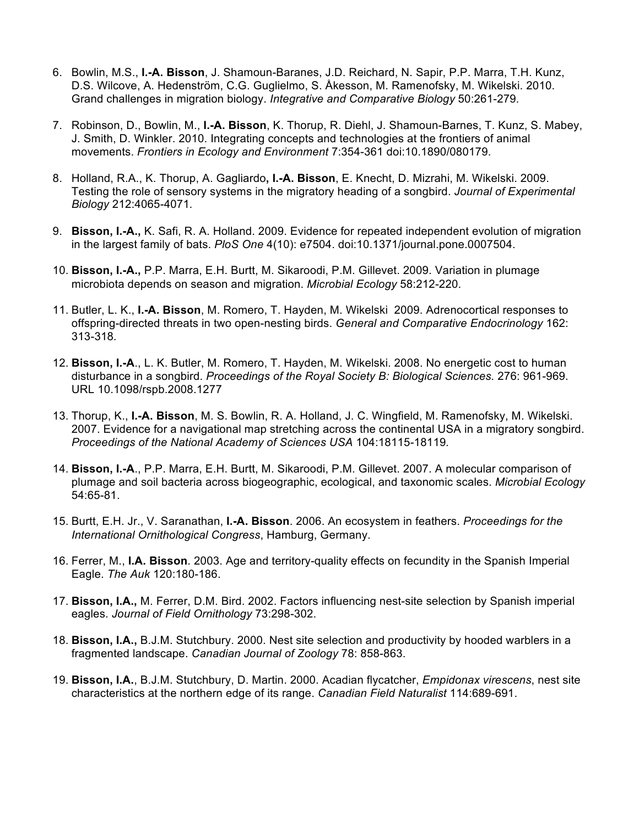- 6. Bowlin, M.S., **I.-A. Bisson**, J. Shamoun-Baranes, J.D. Reichard, N. Sapir, P.P. Marra, T.H. Kunz, D.S. Wilcove, A. Hedenström, C.G. Guglielmo, S. Åkesson, M. Ramenofsky, M. Wikelski. 2010. Grand challenges in migration biology. *Integrative and Comparative Biology* 50:261-279*.*
- 7. Robinson, D., Bowlin, M., **I.-A. Bisson**, K. Thorup, R. Diehl, J. Shamoun-Barnes, T. Kunz, S. Mabey, J. Smith, D. Winkler. 2010. Integrating concepts and technologies at the frontiers of animal movements. *Frontiers in Ecology and Environment* 7:354-361 doi:10.1890/080179.
- 8. Holland, R.A., K. Thorup, A. Gagliardo**, I.-A. Bisson**, E. Knecht, D. Mizrahi, M. Wikelski. 2009. Testing the role of sensory systems in the migratory heading of a songbird. *Journal of Experimental Biology* 212:4065-4071*.*
- 9. **Bisson, I.-A.,** K. Safi, R. A. Holland. 2009. Evidence for repeated independent evolution of migration in the largest family of bats. *PloS One* 4(10): e7504. doi:10.1371/journal.pone.0007504.
- 10. **Bisson, I.-A.,** P.P. Marra, E.H. Burtt, M. Sikaroodi, P.M. Gillevet. 2009. Variation in plumage microbiota depends on season and migration. *Microbial Ecology* 58:212-220.
- 11. Butler, L. K., **I.-A. Bisson**, M. Romero, T. Hayden, M. Wikelski 2009. Adrenocortical responses to offspring-directed threats in two open-nesting birds. *General and Comparative Endocrinology* 162: 313-318*.*
- 12. **Bisson, I.-A**., L. K. Butler, M. Romero, T. Hayden, M. Wikelski. 2008. No energetic cost to human disturbance in a songbird. *Proceedings of the Royal Society B: Biological Sciences.* 276: 961-969. URL 10.1098/rspb.2008.1277
- 13. Thorup, K., **I.-A. Bisson**, M. S. Bowlin, R. A. Holland, J. C. Wingfield, M. Ramenofsky, M. Wikelski. 2007. Evidence for a navigational map stretching across the continental USA in a migratory songbird. *Proceedings of the National Academy of Sciences USA* 104:18115-18119*.*
- 14. **Bisson, I.-A**., P.P. Marra, E.H. Burtt, M. Sikaroodi, P.M. Gillevet. 2007. A molecular comparison of plumage and soil bacteria across biogeographic, ecological, and taxonomic scales. *Microbial Ecology*  54:65-81.
- 15. Burtt, E.H. Jr., V. Saranathan, **I.-A. Bisson**. 2006. An ecosystem in feathers. *Proceedings for the International Ornithological Congress*, Hamburg, Germany.
- 16. Ferrer, M., **I.A. Bisson**. 2003. Age and territory-quality effects on fecundity in the Spanish Imperial Eagle. *The Auk* 120:180-186.
- 17. **Bisson, I.A.,** M. Ferrer, D.M. Bird. 2002. Factors influencing nest-site selection by Spanish imperial eagles. *Journal of Field Ornithology* 73:298-302.
- 18. **Bisson, I.A.,** B.J.M. Stutchbury. 2000. Nest site selection and productivity by hooded warblers in a fragmented landscape. *Canadian Journal of Zoology* 78: 858-863.
- 19. **Bisson, I.A.**, B.J.M. Stutchbury, D. Martin. 2000. Acadian flycatcher, *Empidonax virescens*, nest site characteristics at the northern edge of its range. *Canadian Field Naturalist* 114:689-691.